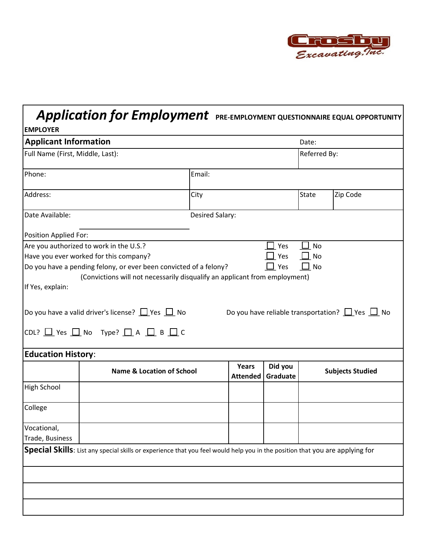

## *Application for Employment* **PRE-EMPLOYMENT QUESTIONNAIRE EQUAL OPPORTUNITY**

| <b>EMPLOYER</b>                  |                                                                                                                                                                                                                                                                                                                        |                 |                          |                     |                 |                                                           |  |  |
|----------------------------------|------------------------------------------------------------------------------------------------------------------------------------------------------------------------------------------------------------------------------------------------------------------------------------------------------------------------|-----------------|--------------------------|---------------------|-----------------|-----------------------------------------------------------|--|--|
| <b>Applicant Information</b>     |                                                                                                                                                                                                                                                                                                                        |                 |                          |                     | Date:           |                                                           |  |  |
| Full Name (First, Middle, Last): |                                                                                                                                                                                                                                                                                                                        |                 |                          | Referred By:        |                 |                                                           |  |  |
| Phone:                           |                                                                                                                                                                                                                                                                                                                        | Email:          |                          |                     |                 |                                                           |  |  |
| Address:                         |                                                                                                                                                                                                                                                                                                                        | City            |                          |                     | <b>State</b>    | Zip Code                                                  |  |  |
| Date Available:                  |                                                                                                                                                                                                                                                                                                                        | Desired Salary: |                          |                     |                 |                                                           |  |  |
| Position Applied For:            |                                                                                                                                                                                                                                                                                                                        |                 |                          |                     |                 |                                                           |  |  |
| If Yes, explain:                 | Have you ever worked for this company?<br>Do you have a pending felony, or ever been convicted of a felony?<br>(Convictions will not necessarily disqualify an applicant from employment)<br> Do you have a valid driver's license? $\Box$ Yes $\Box$ No<br>CDL? $\Box$ Yes $\Box$ No Type? $\Box$ A $\Box$ B $\Box$ C |                 |                          | Yes<br>Yes          | No<br>$\Box$ No | Do you have reliable transportation? $\Box$ Yes $\Box$ No |  |  |
| <b>Education History:</b>        |                                                                                                                                                                                                                                                                                                                        |                 |                          |                     |                 |                                                           |  |  |
|                                  | <b>Name &amp; Location of School</b>                                                                                                                                                                                                                                                                                   |                 | Years<br><b>Attended</b> | Did you<br>Graduate |                 | <b>Subjects Studied</b>                                   |  |  |
| <b>High School</b>               |                                                                                                                                                                                                                                                                                                                        |                 |                          |                     |                 |                                                           |  |  |
| College                          |                                                                                                                                                                                                                                                                                                                        |                 |                          |                     |                 |                                                           |  |  |
| Vocational,<br>Trade, Business   |                                                                                                                                                                                                                                                                                                                        |                 |                          |                     |                 |                                                           |  |  |
|                                  | Special Skills: List any special skills or experience that you feel would help you in the position that you are applying for                                                                                                                                                                                           |                 |                          |                     |                 |                                                           |  |  |
|                                  |                                                                                                                                                                                                                                                                                                                        |                 |                          |                     |                 |                                                           |  |  |
|                                  |                                                                                                                                                                                                                                                                                                                        |                 |                          |                     |                 |                                                           |  |  |
|                                  |                                                                                                                                                                                                                                                                                                                        |                 |                          |                     |                 |                                                           |  |  |